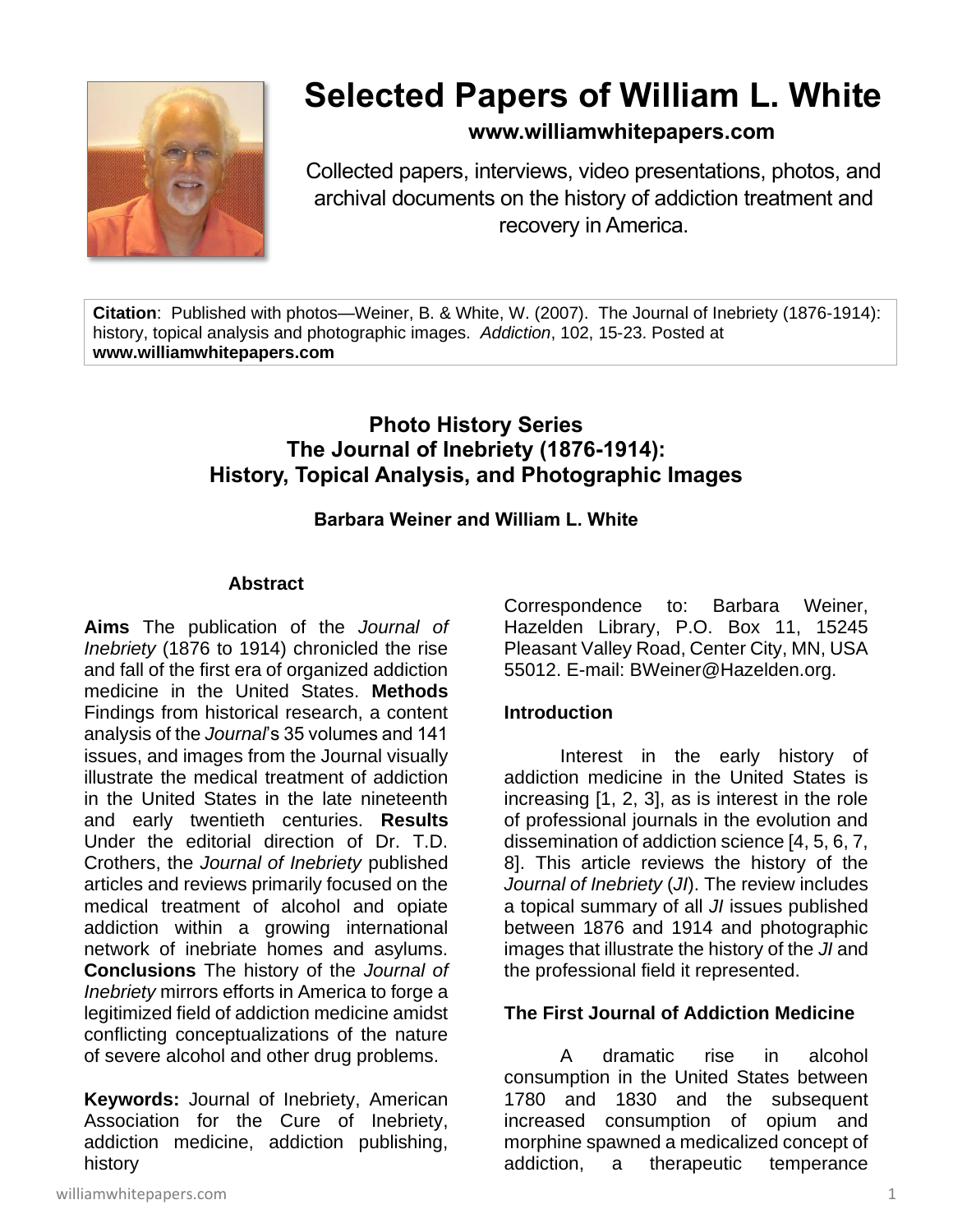

# **Selected Papers of William L. White**

# **www.williamwhitepapers.com**

Collected papers, interviews, video presentations, photos, and archival documents on the history of addiction treatment and recovery in America.

**Citation**: Published with photos—Weiner, B. & White, W. (2007). The Journal of Inebriety (1876-1914): history, topical analysis and photographic images. *Addiction*, 102, 15-23. Posted at **www.williamwhitepapers.com**

# **Photo History Series The Journal of Inebriety (1876-1914): History, Topical Analysis, and Photographic Images**

## **Barbara Weiner and William L. White**

#### **Abstract**

**Aims** The publication of the *Journal of Inebriety* (1876 to 1914) chronicled the rise and fall of the first era of organized addiction medicine in the United States. **Methods** Findings from historical research, a content analysis of the *Journal*'s 35 volumes and 141 issues, and images from the Journal visually illustrate the medical treatment of addiction in the United States in the late nineteenth and early twentieth centuries. **Results** Under the editorial direction of Dr. T.D. Crothers, the *Journal of Inebriety* published articles and reviews primarily focused on the medical treatment of alcohol and opiate addiction within a growing international network of inebriate homes and asylums. **Conclusions** The history of the *Journal of Inebriety* mirrors efforts in America to forge a legitimized field of addiction medicine amidst conflicting conceptualizations of the nature of severe alcohol and other drug problems.

**Keywords:** Journal of Inebriety, American Association for the Cure of Inebriety, addiction medicine, addiction publishing, history

Correspondence to: Barbara Weiner, Hazelden Library, P.O. Box 11, 15245 Pleasant Valley Road, Center City, MN, USA 55012. E-mail: BWeiner@Hazelden.org.

#### **Introduction**

Interest in the early history of addiction medicine in the United States is increasing [1, 2, 3], as is interest in the role of professional journals in the evolution and dissemination of addiction science [4, 5, 6, 7, 8]. This article reviews the history of the *Journal of Inebriety* (*JI*). The review includes a topical summary of all *JI* issues published between 1876 and 1914 and photographic images that illustrate the history of the *JI* and the professional field it represented.

#### **The First Journal of Addiction Medicine**

A dramatic rise in alcohol consumption in the United States between 1780 and 1830 and the subsequent increased consumption of opium and morphine spawned a medicalized concept of addiction, a therapeutic temperance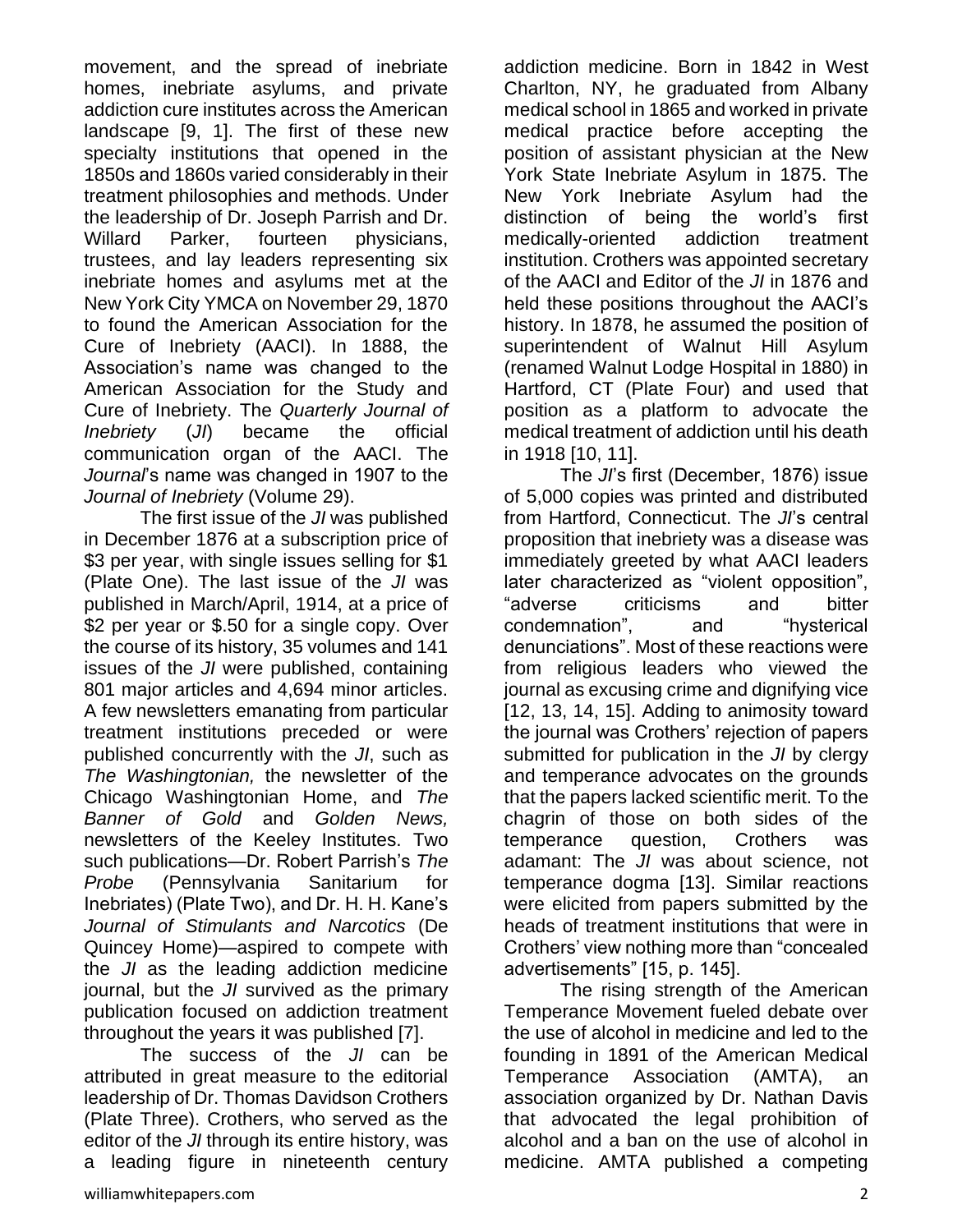movement, and the spread of inebriate homes, inebriate asylums, and private addiction cure institutes across the American landscape [9, 1]. The first of these new specialty institutions that opened in the 1850s and 1860s varied considerably in their treatment philosophies and methods. Under the leadership of Dr. Joseph Parrish and Dr. Willard Parker, fourteen physicians, trustees, and lay leaders representing six inebriate homes and asylums met at the New York City YMCA on November 29, 1870 to found the American Association for the Cure of Inebriety (AACI). In 1888, the Association's name was changed to the American Association for the Study and Cure of Inebriety. The *Quarterly Journal of Inebriety* (*JI*) became the official communication organ of the AACI. The *Journal*'s name was changed in 1907 to the *Journal of Inebriety* (Volume 29).

The first issue of the *JI* was published in December 1876 at a subscription price of \$3 per year, with single issues selling for \$1 (Plate One). The last issue of the *JI* was published in March/April, 1914, at a price of \$2 per year or \$.50 for a single copy. Over the course of its history, 35 volumes and 141 issues of the *JI* were published, containing 801 major articles and 4,694 minor articles. A few newsletters emanating from particular treatment institutions preceded or were published concurrently with the *JI*, such as *The Washingtonian,* the newsletter of the Chicago Washingtonian Home, and *The Banner of Gold* and *Golden News,*  newsletters of the Keeley Institutes. Two such publications—Dr. Robert Parrish's *The Probe* (Pennsylvania Sanitarium for Inebriates) (Plate Two), and Dr. H. H. Kane's *Journal of Stimulants and Narcotics* (De Quincey Home)—aspired to compete with the *JI* as the leading addiction medicine journal, but the *JI* survived as the primary publication focused on addiction treatment throughout the years it was published [7].

The success of the *JI* can be attributed in great measure to the editorial leadership of Dr. Thomas Davidson Crothers (Plate Three). Crothers, who served as the editor of the *JI* through its entire history, was a leading figure in nineteenth century addiction medicine. Born in 1842 in West Charlton, NY, he graduated from Albany medical school in 1865 and worked in private medical practice before accepting the position of assistant physician at the New York State Inebriate Asylum in 1875. The New York Inebriate Asylum had the distinction of being the world's first medically-oriented addiction treatment institution. Crothers was appointed secretary of the AACI and Editor of the *JI* in 1876 and held these positions throughout the AACI's history. In 1878, he assumed the position of superintendent of Walnut Hill Asylum (renamed Walnut Lodge Hospital in 1880) in Hartford, CT (Plate Four) and used that position as a platform to advocate the medical treatment of addiction until his death in 1918 [10, 11].

The *JI*'s first (December, 1876) issue of 5,000 copies was printed and distributed from Hartford, Connecticut. The *JI*'s central proposition that inebriety was a disease was immediately greeted by what AACI leaders later characterized as "violent opposition", "adverse criticisms and bitter condemnation", and "hysterical denunciations". Most of these reactions were from religious leaders who viewed the journal as excusing crime and dignifying vice [12, 13, 14, 15]. Adding to animosity toward the journal was Crothers' rejection of papers submitted for publication in the *JI* by clergy and temperance advocates on the grounds that the papers lacked scientific merit. To the chagrin of those on both sides of the temperance question, Crothers was adamant: The *JI* was about science, not temperance dogma [13]. Similar reactions were elicited from papers submitted by the heads of treatment institutions that were in Crothers' view nothing more than "concealed advertisements" [15, p. 145].

The rising strength of the American Temperance Movement fueled debate over the use of alcohol in medicine and led to the founding in 1891 of the American Medical Temperance Association (AMTA), an association organized by Dr. Nathan Davis that advocated the legal prohibition of alcohol and a ban on the use of alcohol in medicine. AMTA published a competing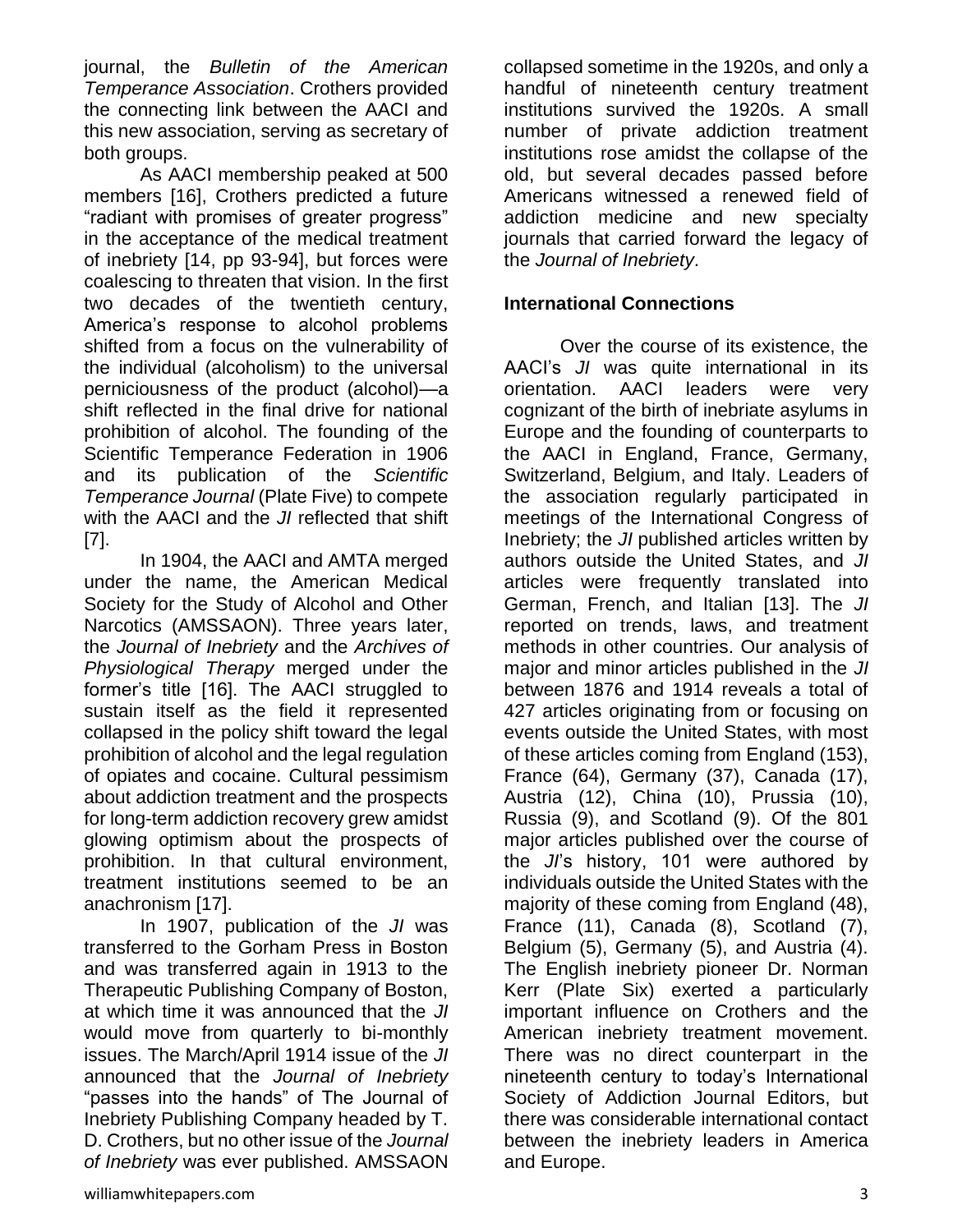journal, the *Bulletin of the American Temperance Association*. Crothers provided the connecting link between the AACI and this new association, serving as secretary of both groups.

As AACI membership peaked at 500 members [16], Crothers predicted a future "radiant with promises of greater progress" in the acceptance of the medical treatment of inebriety [14, pp 93-94], but forces were coalescing to threaten that vision. In the first two decades of the twentieth century, America's response to alcohol problems shifted from a focus on the vulnerability of the individual (alcoholism) to the universal perniciousness of the product (alcohol)—a shift reflected in the final drive for national prohibition of alcohol. The founding of the Scientific Temperance Federation in 1906 and its publication of the *Scientific Temperance Journal* (Plate Five) to compete with the AACI and the *JI* reflected that shift [7].

In 1904, the AACI and AMTA merged under the name, the American Medical Society for the Study of Alcohol and Other Narcotics (AMSSAON). Three years later, the *Journal of Inebriety* and the *Archives of Physiological Therapy* merged under the former's title [16]. The AACI struggled to sustain itself as the field it represented collapsed in the policy shift toward the legal prohibition of alcohol and the legal regulation of opiates and cocaine. Cultural pessimism about addiction treatment and the prospects for long-term addiction recovery grew amidst glowing optimism about the prospects of prohibition. In that cultural environment, treatment institutions seemed to be an anachronism [17].

In 1907, publication of the *JI* was transferred to the Gorham Press in Boston and was transferred again in 1913 to the Therapeutic Publishing Company of Boston, at which time it was announced that the *JI* would move from quarterly to bi-monthly issues. The March/April 1914 issue of the *JI* announced that the *Journal of Inebriety* "passes into the hands" of The Journal of Inebriety Publishing Company headed by T. D. Crothers, but no other issue of the *Journal of Inebriety* was ever published. AMSSAON

williamwhitepapers.com 3

collapsed sometime in the 1920s, and only a handful of nineteenth century treatment institutions survived the 1920s. A small number of private addiction treatment institutions rose amidst the collapse of the old, but several decades passed before Americans witnessed a renewed field of addiction medicine and new specialty journals that carried forward the legacy of the *Journal of Inebriety*.

#### **International Connections**

Over the course of its existence, the AACI's *JI* was quite international in its orientation. AACI leaders were very cognizant of the birth of inebriate asylums in Europe and the founding of counterparts to the AACI in England, France, Germany, Switzerland, Belgium, and Italy. Leaders of the association regularly participated in meetings of the International Congress of Inebriety; the *JI* published articles written by authors outside the United States, and *JI* articles were frequently translated into German, French, and Italian [13]. The *JI* reported on trends, laws, and treatment methods in other countries. Our analysis of major and minor articles published in the *JI* between 1876 and 1914 reveals a total of 427 articles originating from or focusing on events outside the United States, with most of these articles coming from England (153), France (64), Germany (37), Canada (17), Austria (12), China (10), Prussia (10), Russia (9), and Scotland (9). Of the 801 major articles published over the course of the *JI*'s history, 101 were authored by individuals outside the United States with the majority of these coming from England (48), France (11), Canada (8), Scotland (7), Belgium (5), Germany (5), and Austria (4). The English inebriety pioneer Dr. Norman Kerr (Plate Six) exerted a particularly important influence on Crothers and the American inebriety treatment movement. There was no direct counterpart in the nineteenth century to today's International Society of Addiction Journal Editors, but there was considerable international contact between the inebriety leaders in America and Europe.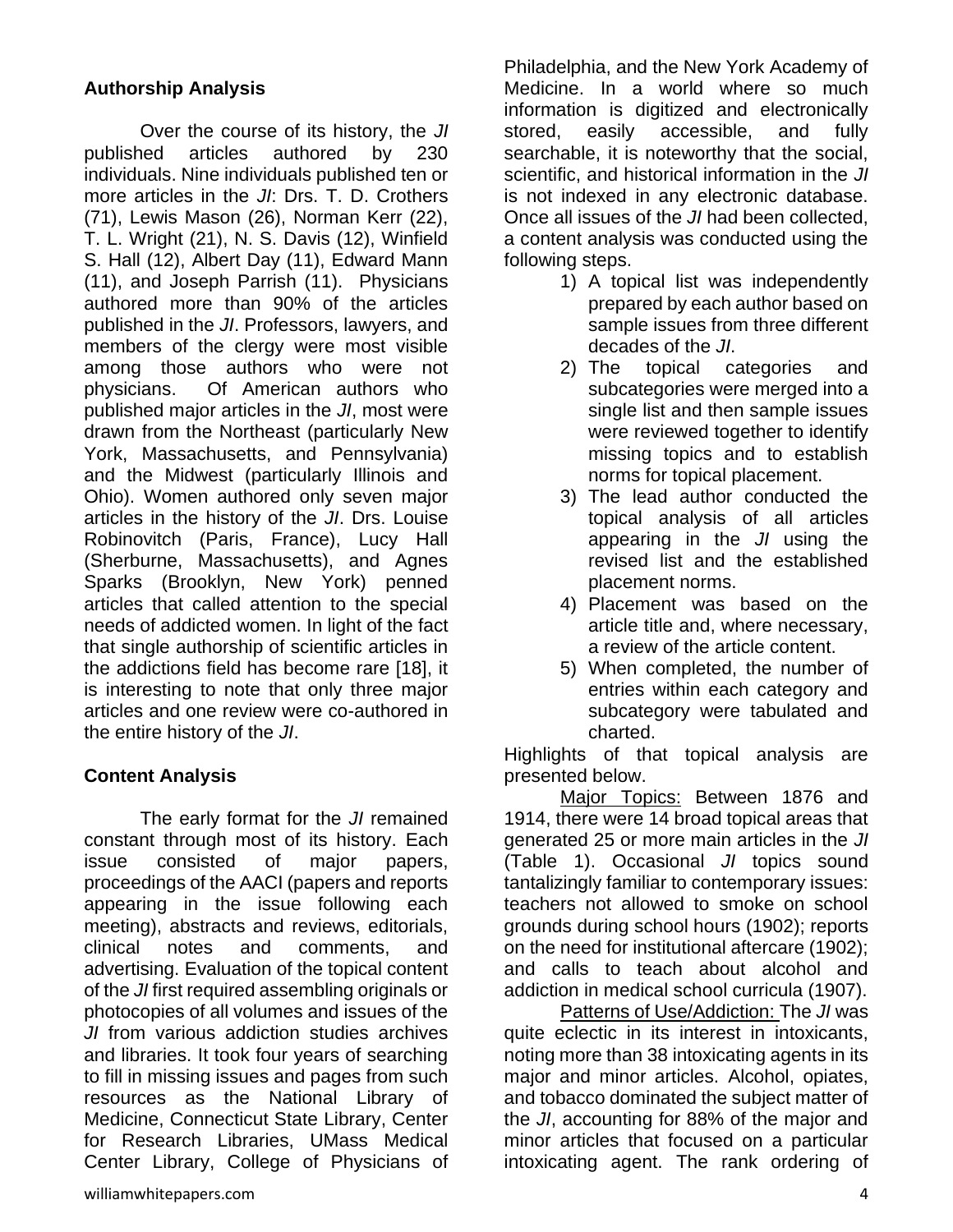## **Authorship Analysis**

Over the course of its history, the *JI* published articles authored by 230 individuals. Nine individuals published ten or more articles in the *JI*: Drs. T. D. Crothers (71), Lewis Mason (26), Norman Kerr (22), T. L. Wright (21), N. S. Davis (12), Winfield S. Hall (12), Albert Day (11), Edward Mann (11), and Joseph Parrish (11). Physicians authored more than 90% of the articles published in the *JI*. Professors, lawyers, and members of the clergy were most visible among those authors who were not physicians. Of American authors who published major articles in the *JI*, most were drawn from the Northeast (particularly New York, Massachusetts, and Pennsylvania) and the Midwest (particularly Illinois and Ohio). Women authored only seven major articles in the history of the *JI*. Drs. Louise Robinovitch (Paris, France), Lucy Hall (Sherburne, Massachusetts), and Agnes Sparks (Brooklyn, New York) penned articles that called attention to the special needs of addicted women. In light of the fact that single authorship of scientific articles in the addictions field has become rare [18], it is interesting to note that only three major articles and one review were co-authored in the entire history of the *JI*.

#### **Content Analysis**

The early format for the *JI* remained constant through most of its history. Each issue consisted of major papers, proceedings of the AACI (papers and reports appearing in the issue following each meeting), abstracts and reviews, editorials, clinical notes and comments, and advertising. Evaluation of the topical content of the *JI* first required assembling originals or photocopies of all volumes and issues of the *JI* from various addiction studies archives and libraries. It took four years of searching to fill in missing issues and pages from such resources as the National Library of Medicine, Connecticut State Library, Center for Research Libraries, UMass Medical Center Library, College of Physicians of Philadelphia, and the New York Academy of Medicine. In a world where so much information is digitized and electronically stored, easily accessible, and fully searchable, it is noteworthy that the social, scientific, and historical information in the *JI* is not indexed in any electronic database. Once all issues of the *JI* had been collected, a content analysis was conducted using the following steps.

- 1) A topical list was independently prepared by each author based on sample issues from three different decades of the *JI*.
- 2) The topical categories and subcategories were merged into a single list and then sample issues were reviewed together to identify missing topics and to establish norms for topical placement.
- 3) The lead author conducted the topical analysis of all articles appearing in the *JI* using the revised list and the established placement norms.
- 4) Placement was based on the article title and, where necessary, a review of the article content.
- 5) When completed, the number of entries within each category and subcategory were tabulated and charted.

Highlights of that topical analysis are presented below.

Major Topics: Between 1876 and 1914, there were 14 broad topical areas that generated 25 or more main articles in the *JI* (Table 1). Occasional *JI* topics sound tantalizingly familiar to contemporary issues: teachers not allowed to smoke on school grounds during school hours (1902); reports on the need for institutional aftercare (1902); and calls to teach about alcohol and addiction in medical school curricula (1907).

Patterns of Use/Addiction: The *JI* was quite eclectic in its interest in intoxicants, noting more than 38 intoxicating agents in its major and minor articles. Alcohol, opiates, and tobacco dominated the subject matter of the *JI*, accounting for 88% of the major and minor articles that focused on a particular intoxicating agent. The rank ordering of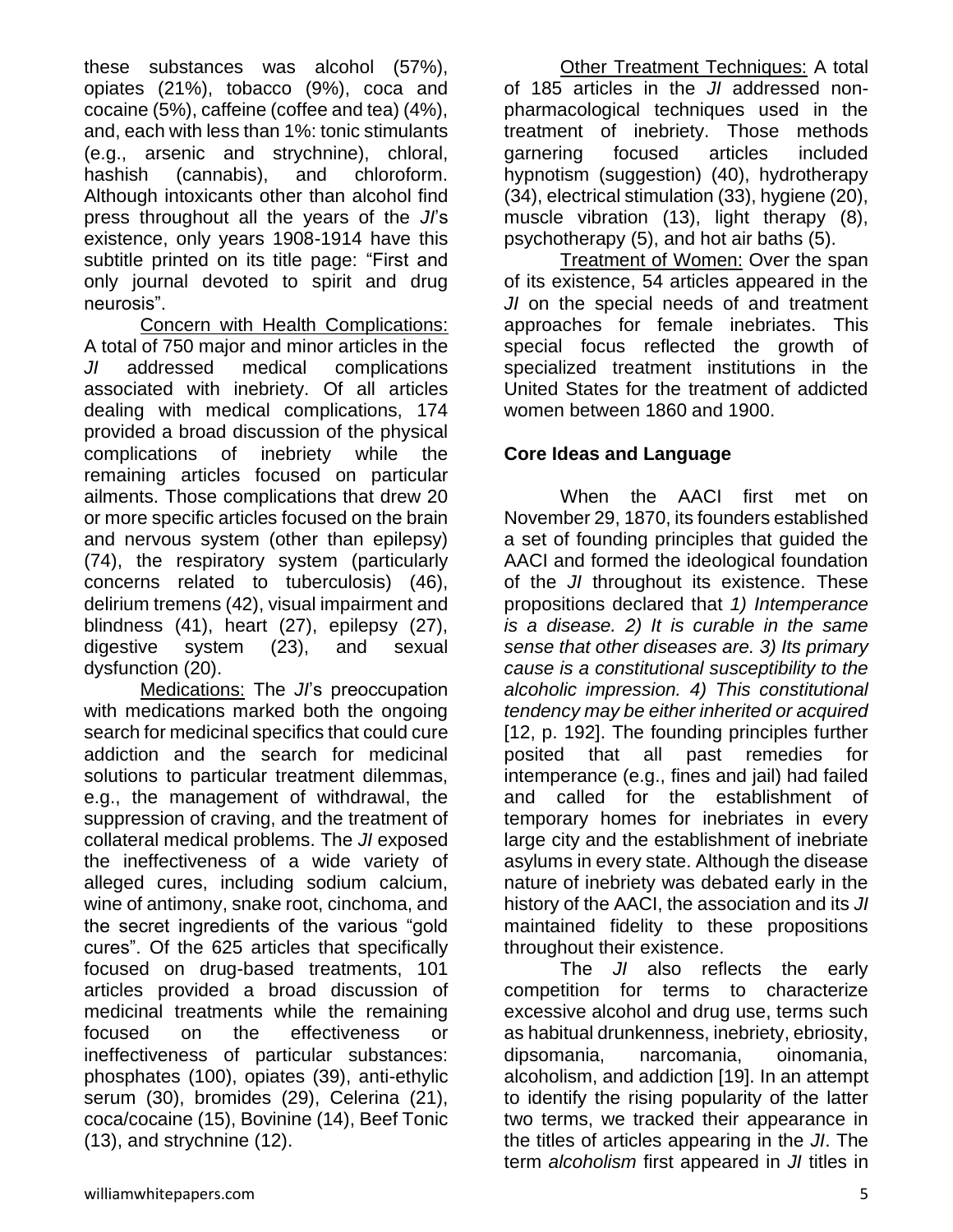these substances was alcohol (57%), opiates (21%), tobacco (9%), coca and cocaine (5%), caffeine (coffee and tea) (4%), and, each with less than 1%: tonic stimulants (e.g., arsenic and strychnine), chloral, hashish (cannabis), and chloroform. Although intoxicants other than alcohol find press throughout all the years of the *JI*'s existence, only years 1908-1914 have this subtitle printed on its title page: "First and only journal devoted to spirit and drug neurosis".

Concern with Health Complications: A total of 750 major and minor articles in the *JI* addressed medical complications associated with inebriety. Of all articles dealing with medical complications, 174 provided a broad discussion of the physical complications of inebriety while the remaining articles focused on particular ailments. Those complications that drew 20 or more specific articles focused on the brain and nervous system (other than epilepsy) (74), the respiratory system (particularly concerns related to tuberculosis) (46), delirium tremens (42), visual impairment and blindness (41), heart (27), epilepsy (27), digestive system (23), and sexual dysfunction (20).

Medications: The *JI*'s preoccupation with medications marked both the ongoing search for medicinal specifics that could cure addiction and the search for medicinal solutions to particular treatment dilemmas, e.g., the management of withdrawal, the suppression of craving, and the treatment of collateral medical problems. The *JI* exposed the ineffectiveness of a wide variety of alleged cures, including sodium calcium, wine of antimony, snake root, cinchoma, and the secret ingredients of the various "gold cures". Of the 625 articles that specifically focused on drug-based treatments, 101 articles provided a broad discussion of medicinal treatments while the remaining focused on the effectiveness or ineffectiveness of particular substances: phosphates (100), opiates (39), anti-ethylic serum (30), bromides (29), Celerina (21), coca/cocaine (15), Bovinine (14), Beef Tonic (13), and strychnine (12).

**Other Treatment Techniques: A total** of 185 articles in the *JI* addressed nonpharmacological techniques used in the treatment of inebriety. Those methods garnering focused articles included hypnotism (suggestion) (40), hydrotherapy (34), electrical stimulation (33), hygiene (20), muscle vibration (13), light therapy (8), psychotherapy (5), and hot air baths (5).

Treatment of Women: Over the span of its existence, 54 articles appeared in the *JI* on the special needs of and treatment approaches for female inebriates. This special focus reflected the growth of specialized treatment institutions in the United States for the treatment of addicted women between 1860 and 1900.

# **Core Ideas and Language**

When the AACI first met on November 29, 1870, its founders established a set of founding principles that guided the AACI and formed the ideological foundation of the *JI* throughout its existence. These propositions declared that *1) Intemperance is a disease. 2) It is curable in the same sense that other diseases are. 3) Its primary cause is a constitutional susceptibility to the alcoholic impression. 4) This constitutional tendency may be either inherited or acquired*  [12, p. 192]. The founding principles further posited that all past remedies for intemperance (e.g., fines and jail) had failed and called for the establishment of temporary homes for inebriates in every large city and the establishment of inebriate asylums in every state. Although the disease nature of inebriety was debated early in the history of the AACI, the association and its *JI* maintained fidelity to these propositions throughout their existence.

The *JI* also reflects the early competition for terms to characterize excessive alcohol and drug use, terms such as habitual drunkenness, inebriety, ebriosity, dipsomania, narcomania, oinomania, alcoholism, and addiction [19]. In an attempt to identify the rising popularity of the latter two terms, we tracked their appearance in the titles of articles appearing in the *JI*. The term *alcoholism* first appeared in *JI* titles in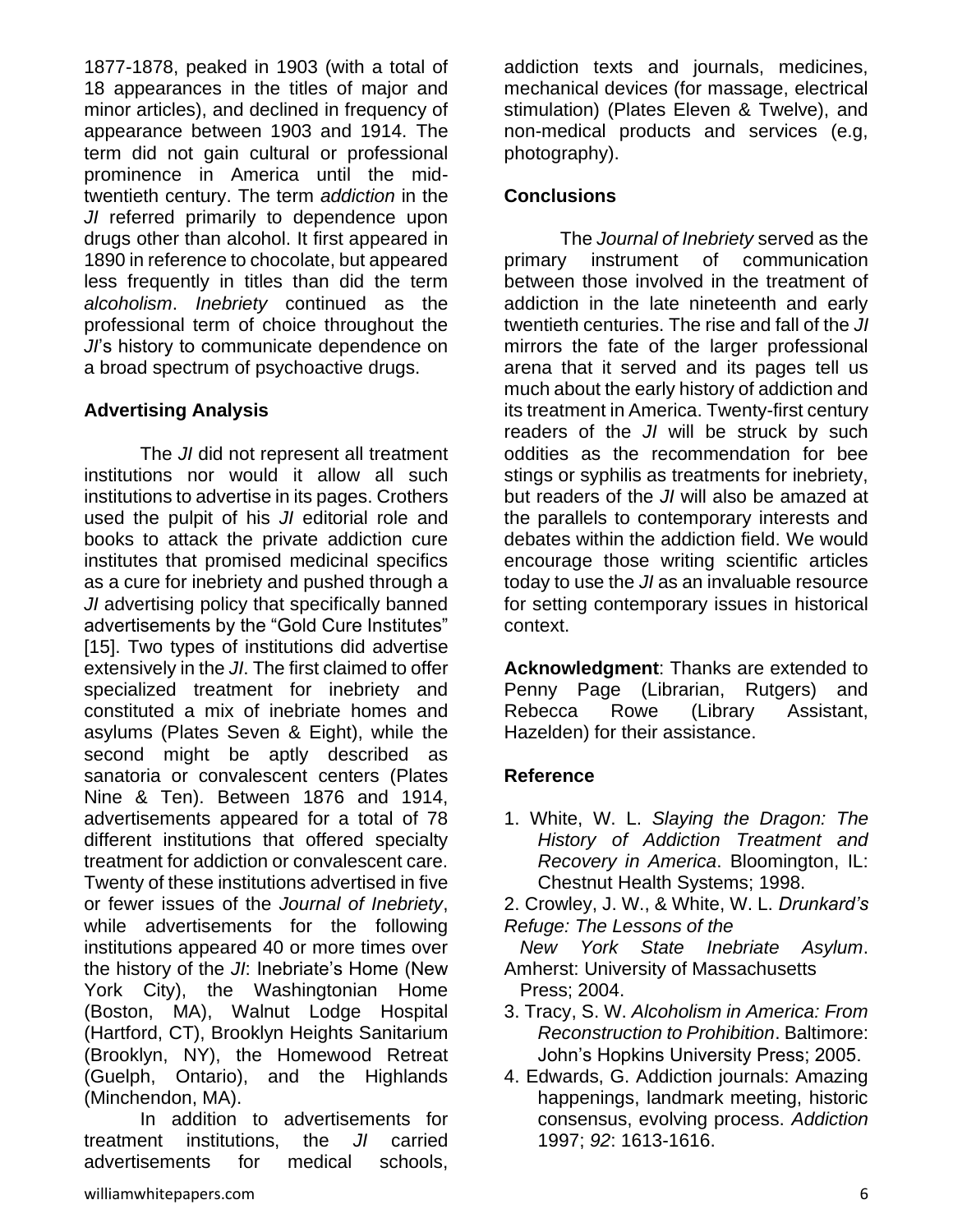1877-1878, peaked in 1903 (with a total of 18 appearances in the titles of major and minor articles), and declined in frequency of appearance between 1903 and 1914. The term did not gain cultural or professional prominence in America until the midtwentieth century. The term *addiction* in the *JI* referred primarily to dependence upon drugs other than alcohol. It first appeared in 1890 in reference to chocolate, but appeared less frequently in titles than did the term *alcoholism*. *Inebriety* continued as the professional term of choice throughout the *JI*'s history to communicate dependence on a broad spectrum of psychoactive drugs.

#### **Advertising Analysis**

The *JI* did not represent all treatment institutions nor would it allow all such institutions to advertise in its pages. Crothers used the pulpit of his *JI* editorial role and books to attack the private addiction cure institutes that promised medicinal specifics as a cure for inebriety and pushed through a *JI* advertising policy that specifically banned advertisements by the "Gold Cure Institutes" [15]. Two types of institutions did advertise extensively in the *JI*. The first claimed to offer specialized treatment for inebriety and constituted a mix of inebriate homes and asylums (Plates Seven & Eight), while the second might be aptly described as sanatoria or convalescent centers (Plates Nine & Ten). Between 1876 and 1914, advertisements appeared for a total of 78 different institutions that offered specialty treatment for addiction or convalescent care. Twenty of these institutions advertised in five or fewer issues of the *Journal of Inebriety*, while advertisements for the following institutions appeared 40 or more times over the history of the *JI*: Inebriate's Home (New York City), the Washingtonian Home (Boston, MA), Walnut Lodge Hospital (Hartford, CT), Brooklyn Heights Sanitarium (Brooklyn, NY), the Homewood Retreat (Guelph, Ontario), and the Highlands (Minchendon, MA).

In addition to advertisements for treatment institutions, the *JI* carried advertisements for medical schools,

#### **Conclusions**

The *Journal of Inebriety* served as the primary instrument of communication between those involved in the treatment of addiction in the late nineteenth and early twentieth centuries. The rise and fall of the *JI* mirrors the fate of the larger professional arena that it served and its pages tell us much about the early history of addiction and its treatment in America. Twenty-first century readers of the *JI* will be struck by such oddities as the recommendation for bee stings or syphilis as treatments for inebriety, but readers of the *JI* will also be amazed at the parallels to contemporary interests and debates within the addiction field. We would encourage those writing scientific articles today to use the *JI* as an invaluable resource for setting contemporary issues in historical context.

**Acknowledgment**: Thanks are extended to Penny Page (Librarian, Rutgers) and Rebecca Rowe (Library Assistant, Hazelden) for their assistance.

#### **Reference**

1. White, W. L. *Slaying the Dragon: The History of Addiction Treatment and Recovery in America*. Bloomington, IL: Chestnut Health Systems; 1998.

2. Crowley, J. W., & White, W. L. *Drunkard's Refuge: The Lessons of the* 

- *New York State Inebriate Asylum*. Amherst: University of Massachusetts Press; 2004.
- 3. Tracy, S. W. *Alcoholism in America: From Reconstruction to Prohibition*. Baltimore: John's Hopkins University Press; 2005.
- 4. Edwards, G. Addiction journals: Amazing happenings, landmark meeting, historic consensus, evolving process. *Addiction*  1997; *92*: 1613-1616.